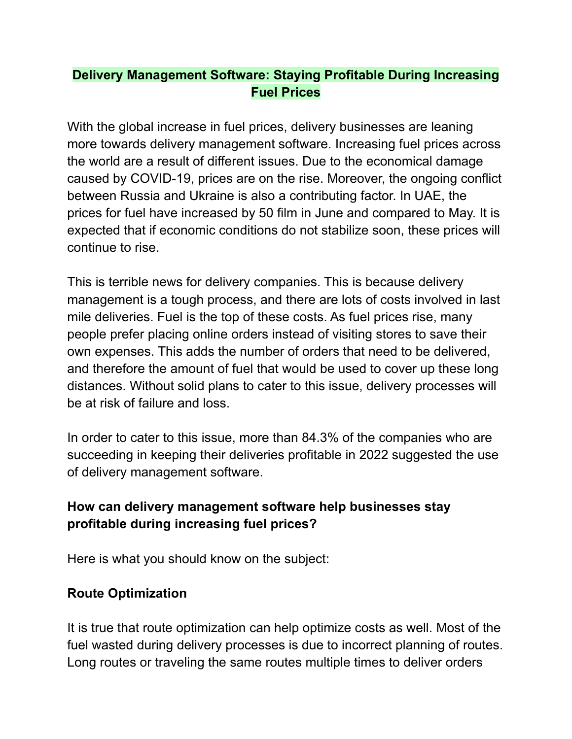# **Delivery Management Software: Staying Profitable During Increasing Fuel Prices**

With the global increase in fuel prices, delivery businesses are leaning more towards delivery management software. Increasing fuel prices across the world are a result of different issues. Due to the economical damage caused by COVID-19, prices are on the rise. Moreover, the ongoing conflict between Russia and Ukraine is also a contributing factor. In UAE, the prices for fuel have increased by 50 film in June and compared to May. It is expected that if economic conditions do not stabilize soon, these prices will continue to rise.

This is terrible news for delivery companies. This is because delivery management is a tough process, and there are lots of costs involved in last mile deliveries. Fuel is the top of these costs. As fuel prices rise, many people prefer placing online orders instead of visiting stores to save their own expenses. This adds the number of orders that need to be delivered, and therefore the amount of fuel that would be used to cover up these long distances. Without solid plans to cater to this issue, delivery processes will be at risk of failure and loss.

In order to cater to this issue, more than 84.3% of the companies who are succeeding in keeping their deliveries profitable in 2022 suggested the use of delivery management software.

## **How can delivery management software help businesses stay profitable during increasing fuel prices?**

Here is what you should know on the subject:

# **Route Optimization**

It is true that route optimization can help optimize costs as well. Most of the fuel wasted during delivery processes is due to incorrect planning of routes. Long routes or traveling the same routes multiple times to deliver orders